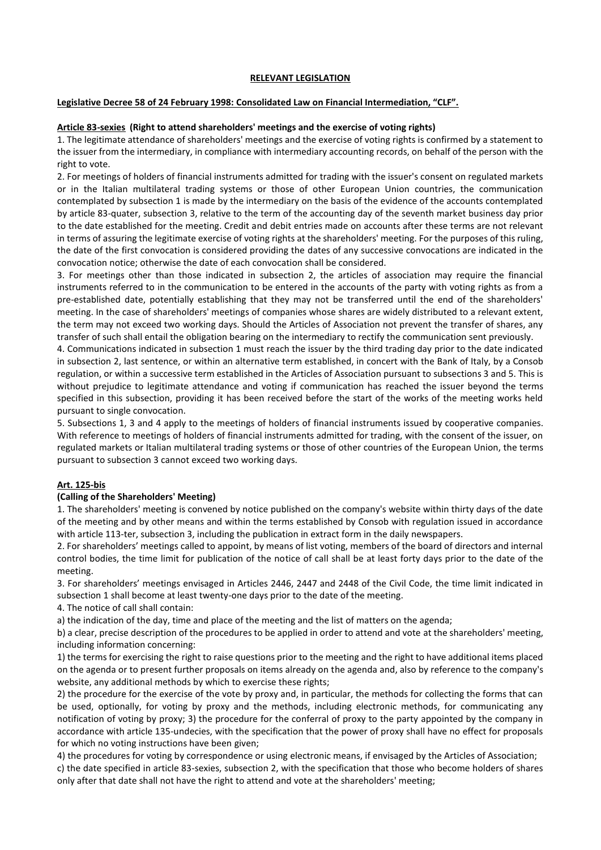#### **RELEVANT LEGISLATION**

#### **Legislative Decree 58 of 24 February 1998: Consolidated Law on Financial Intermediation, "CLF".**

#### **Article 83-sexies (Right to attend shareholders' meetings and the exercise of voting rights)**

1. The legitimate attendance of shareholders' meetings and the exercise of voting rights is confirmed by a statement to the issuer from the intermediary, in compliance with intermediary accounting records, on behalf of the person with the right to vote.

2. For meetings of holders of financial instruments admitted for trading with the issuer's consent on regulated markets or in the Italian multilateral trading systems or those of other European Union countries, the communication contemplated by subsection 1 is made by the intermediary on the basis of the evidence of the accounts contemplated by article 83-quater, subsection 3, relative to the term of the accounting day of the seventh market business day prior to the date established for the meeting. Credit and debit entries made on accounts after these terms are not relevant in terms of assuring the legitimate exercise of voting rights at the shareholders' meeting. For the purposes of this ruling, the date of the first convocation is considered providing the dates of any successive convocations are indicated in the convocation notice; otherwise the date of each convocation shall be considered.

3. For meetings other than those indicated in subsection 2, the articles of association may require the financial instruments referred to in the communication to be entered in the accounts of the party with voting rights as from a pre-established date, potentially establishing that they may not be transferred until the end of the shareholders' meeting. In the case of shareholders' meetings of companies whose shares are widely distributed to a relevant extent, the term may not exceed two working days. Should the Articles of Association not prevent the transfer of shares, any transfer of such shall entail the obligation bearing on the intermediary to rectify the communication sent previously.

4. Communications indicated in subsection 1 must reach the issuer by the third trading day prior to the date indicated in subsection 2, last sentence, or within an alternative term established, in concert with the Bank of Italy, by a Consob regulation, or within a successive term established in the Articles of Association pursuant to subsections 3 and 5. This is without prejudice to legitimate attendance and voting if communication has reached the issuer beyond the terms specified in this subsection, providing it has been received before the start of the works of the meeting works held pursuant to single convocation.

5. Subsections 1, 3 and 4 apply to the meetings of holders of financial instruments issued by cooperative companies. With reference to meetings of holders of financial instruments admitted for trading, with the consent of the issuer, on regulated markets or Italian multilateral trading systems or those of other countries of the European Union, the terms pursuant to subsection 3 cannot exceed two working days.

## **Art. 125-bis**

#### **(Calling of the Shareholders' Meeting)**

1. The shareholders' meeting is convened by notice published on the company's website within thirty days of the date of the meeting and by other means and within the terms established by Consob with regulation issued in accordance with article 113-ter, subsection 3, including the publication in extract form in the daily newspapers.

2. For shareholders' meetings called to appoint, by means of list voting, members of the board of directors and internal control bodies, the time limit for publication of the notice of call shall be at least forty days prior to the date of the meeting.

3. For shareholders' meetings envisaged in Articles 2446, 2447 and 2448 of the Civil Code, the time limit indicated in subsection 1 shall become at least twenty-one days prior to the date of the meeting.

4. The notice of call shall contain:

a) the indication of the day, time and place of the meeting and the list of matters on the agenda;

b) a clear, precise description of the procedures to be applied in order to attend and vote at the shareholders' meeting, including information concerning:

1) the terms for exercising the right to raise questions prior to the meeting and the right to have additional items placed on the agenda or to present further proposals on items already on the agenda and, also by reference to the company's website, any additional methods by which to exercise these rights;

2) the procedure for the exercise of the vote by proxy and, in particular, the methods for collecting the forms that can be used, optionally, for voting by proxy and the methods, including electronic methods, for communicating any notification of voting by proxy; 3) the procedure for the conferral of proxy to the party appointed by the company in accordance with article 135-undecies, with the specification that the power of proxy shall have no effect for proposals for which no voting instructions have been given;

4) the procedures for voting by correspondence or using electronic means, if envisaged by the Articles of Association; c) the date specified in article 83-sexies, subsection 2, with the specification that those who become holders of shares only after that date shall not have the right to attend and vote at the shareholders' meeting;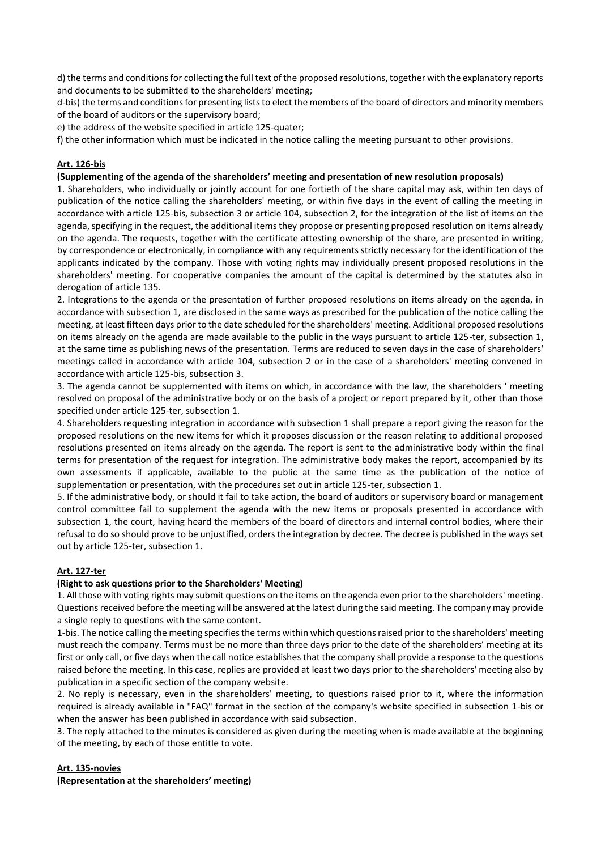d) the terms and conditions for collecting the full text of the proposed resolutions, together with the explanatory reports and documents to be submitted to the shareholders' meeting;

d-bis) the terms and conditions for presenting lists to elect the members of the board of directors and minority members of the board of auditors or the supervisory board;

e) the address of the website specified in article 125-quater;

f) the other information which must be indicated in the notice calling the meeting pursuant to other provisions.

#### **Art. 126-bis**

#### **(Supplementing of the agenda of the shareholders' meeting and presentation of new resolution proposals)**

1. Shareholders, who individually or jointly account for one fortieth of the share capital may ask, within ten days of publication of the notice calling the shareholders' meeting, or within five days in the event of calling the meeting in accordance with article 125-bis, subsection 3 or article 104, subsection 2, for the integration of the list of items on the agenda, specifying in the request, the additional items they propose or presenting proposed resolution on items already on the agenda. The requests, together with the certificate attesting ownership of the share, are presented in writing, by correspondence or electronically, in compliance with any requirements strictly necessary for the identification of the applicants indicated by the company. Those with voting rights may individually present proposed resolutions in the shareholders' meeting. For cooperative companies the amount of the capital is determined by the statutes also in derogation of article 135.

2. Integrations to the agenda or the presentation of further proposed resolutions on items already on the agenda, in accordance with subsection 1, are disclosed in the same ways as prescribed for the publication of the notice calling the meeting, at least fifteen days prior to the date scheduled for the shareholders' meeting. Additional proposed resolutions on items already on the agenda are made available to the public in the ways pursuant to article 125-ter, subsection 1, at the same time as publishing news of the presentation. Terms are reduced to seven days in the case of shareholders' meetings called in accordance with article 104, subsection 2 or in the case of a shareholders' meeting convened in accordance with article 125-bis, subsection 3.

3. The agenda cannot be supplemented with items on which, in accordance with the law, the shareholders ' meeting resolved on proposal of the administrative body or on the basis of a project or report prepared by it, other than those specified under article 125-ter, subsection 1.

4. Shareholders requesting integration in accordance with subsection 1 shall prepare a report giving the reason for the proposed resolutions on the new items for which it proposes discussion or the reason relating to additional proposed resolutions presented on items already on the agenda. The report is sent to the administrative body within the final terms for presentation of the request for integration. The administrative body makes the report, accompanied by its own assessments if applicable, available to the public at the same time as the publication of the notice of supplementation or presentation, with the procedures set out in article 125-ter, subsection 1.

5. If the administrative body, or should it fail to take action, the board of auditors or supervisory board or management control committee fail to supplement the agenda with the new items or proposals presented in accordance with subsection 1, the court, having heard the members of the board of directors and internal control bodies, where their refusal to do so should prove to be unjustified, orders the integration by decree. The decree is published in the ways set out by article 125-ter, subsection 1.

#### **Art. 127-ter**

#### **(Right to ask questions prior to the Shareholders' Meeting)**

1. All those with voting rights may submit questions on the items on the agenda even prior to the shareholders' meeting. Questions received before the meeting will be answered at the latest during the said meeting. The company may provide a single reply to questions with the same content.

1-bis. The notice calling the meeting specifies the terms within which questions raised prior to the shareholders' meeting must reach the company. Terms must be no more than three days prior to the date of the shareholders' meeting at its first or only call, or five days when the call notice establishes that the company shall provide a response to the questions raised before the meeting. In this case, replies are provided at least two days prior to the shareholders' meeting also by publication in a specific section of the company website.

2. No reply is necessary, even in the shareholders' meeting, to questions raised prior to it, where the information required is already available in "FAQ" format in the section of the company's website specified in subsection 1-bis or when the answer has been published in accordance with said subsection.

3. The reply attached to the minutes is considered as given during the meeting when is made available at the beginning of the meeting, by each of those entitle to vote.

#### **Art. 135-novies**

**(Representation at the shareholders' meeting)**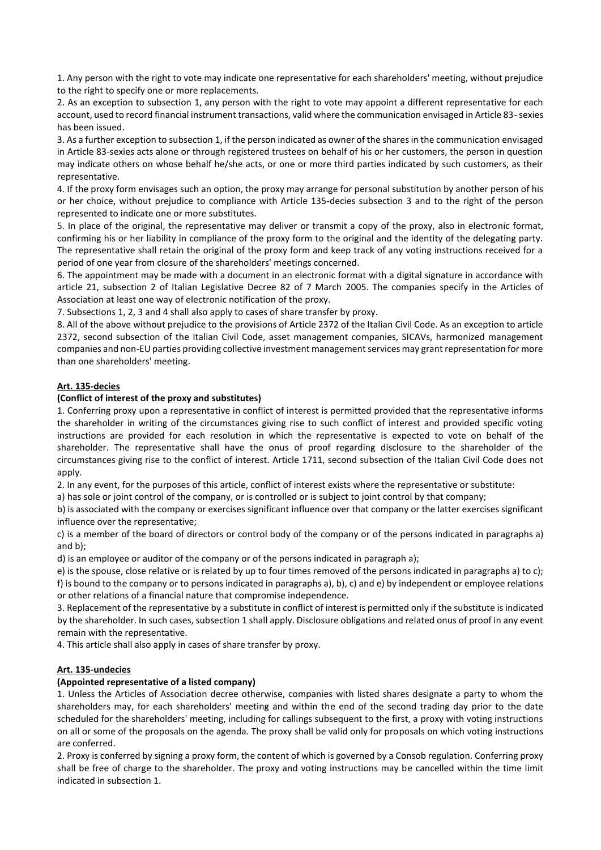1. Any person with the right to vote may indicate one representative for each shareholders' meeting, without prejudice to the right to specify one or more replacements.

2. As an exception to subsection 1, any person with the right to vote may appoint a different representative for each account, used to record financial instrument transactions, valid where the communication envisaged in Article 83-sexies has been issued.

3. As a further exception to subsection 1, if the person indicated as owner of the shares in the communication envisaged in Article 83-sexies acts alone or through registered trustees on behalf of his or her customers, the person in question may indicate others on whose behalf he/she acts, or one or more third parties indicated by such customers, as their representative.

4. If the proxy form envisages such an option, the proxy may arrange for personal substitution by another person of his or her choice, without prejudice to compliance with Article 135-decies subsection 3 and to the right of the person represented to indicate one or more substitutes.

5. In place of the original, the representative may deliver or transmit a copy of the proxy, also in electronic format, confirming his or her liability in compliance of the proxy form to the original and the identity of the delegating party. The representative shall retain the original of the proxy form and keep track of any voting instructions received for a period of one year from closure of the shareholders' meetings concerned.

6. The appointment may be made with a document in an electronic format with a digital signature in accordance with article 21, subsection 2 of Italian Legislative Decree 82 of 7 March 2005. The companies specify in the Articles of Association at least one way of electronic notification of the proxy.

7. Subsections 1, 2, 3 and 4 shall also apply to cases of share transfer by proxy.

8. All of the above without prejudice to the provisions of Article 2372 of the Italian Civil Code. As an exception to article 2372, second subsection of the Italian Civil Code, asset management companies, SICAVs, harmonized management companies and non-EU parties providing collective investment management services may grant representation for more than one shareholders' meeting.

# **Art. 135-decies**

## **(Conflict of interest of the proxy and substitutes)**

1. Conferring proxy upon a representative in conflict of interest is permitted provided that the representative informs the shareholder in writing of the circumstances giving rise to such conflict of interest and provided specific voting instructions are provided for each resolution in which the representative is expected to vote on behalf of the shareholder. The representative shall have the onus of proof regarding disclosure to the shareholder of the circumstances giving rise to the conflict of interest. Article 1711, second subsection of the Italian Civil Code does not apply.

2. In any event, for the purposes of this article, conflict of interest exists where the representative or substitute:

a) has sole or joint control of the company, or is controlled or is subject to joint control by that company;

b) is associated with the company or exercises significant influence over that company or the latter exercises significant influence over the representative;

c) is a member of the board of directors or control body of the company or of the persons indicated in paragraphs a) and b);

d) is an employee or auditor of the company or of the persons indicated in paragraph a);

e) is the spouse, close relative or is related by up to four times removed of the persons indicated in paragraphs a) to c); f) is bound to the company or to persons indicated in paragraphs a), b), c) and e) by independent or employee relations or other relations of a financial nature that compromise independence.

3. Replacement of the representative by a substitute in conflict of interest is permitted only if the substitute is indicated by the shareholder. In such cases, subsection 1 shall apply. Disclosure obligations and related onus of proof in any event remain with the representative.

4. This article shall also apply in cases of share transfer by proxy.

#### **Art. 135-undecies**

## **(Appointed representative of a listed company)**

1. Unless the Articles of Association decree otherwise, companies with listed shares designate a party to whom the shareholders may, for each shareholders' meeting and within the end of the second trading day prior to the date scheduled for the shareholders' meeting, including for callings subsequent to the first, a proxy with voting instructions on all or some of the proposals on the agenda. The proxy shall be valid only for proposals on which voting instructions are conferred.

2. Proxy is conferred by signing a proxy form, the content of which is governed by a Consob regulation. Conferring proxy shall be free of charge to the shareholder. The proxy and voting instructions may be cancelled within the time limit indicated in subsection 1.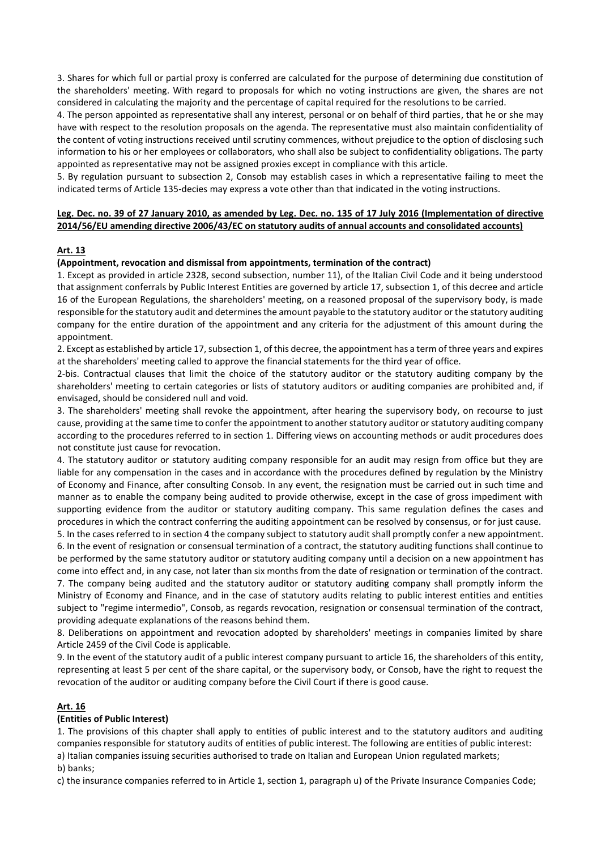3. Shares for which full or partial proxy is conferred are calculated for the purpose of determining due constitution of the shareholders' meeting. With regard to proposals for which no voting instructions are given, the shares are not considered in calculating the majority and the percentage of capital required for the resolutions to be carried.

4. The person appointed as representative shall any interest, personal or on behalf of third parties, that he or she may have with respect to the resolution proposals on the agenda. The representative must also maintain confidentiality of the content of voting instructions received until scrutiny commences, without prejudice to the option of disclosing such information to his or her employees or collaborators, who shall also be subject to confidentiality obligations. The party appointed as representative may not be assigned proxies except in compliance with this article.

5. By regulation pursuant to subsection 2, Consob may establish cases in which a representative failing to meet the indicated terms of Article 135-decies may express a vote other than that indicated in the voting instructions.

## **Leg. Dec. no. 39 of 27 January 2010, as amended by Leg. Dec. no. 135 of 17 July 2016 (Implementation of directive 2014/56/EU amending directive 2006/43/EC on statutory audits of annual accounts and consolidated accounts)**

# **Art. 13**

## **(Appointment, revocation and dismissal from appointments, termination of the contract)**

1. Except as provided in article 2328, second subsection, number 11), of the Italian Civil Code and it being understood that assignment conferrals by Public Interest Entities are governed by article 17, subsection 1, of this decree and article 16 of the European Regulations, the shareholders' meeting, on a reasoned proposal of the supervisory body, is made responsible for the statutory audit and determines the amount payable to the statutory auditor or the statutory auditing company for the entire duration of the appointment and any criteria for the adjustment of this amount during the appointment.

2. Except as established by article 17, subsection 1, of this decree, the appointment has a term of three years and expires at the shareholders' meeting called to approve the financial statements for the third year of office.

2-bis. Contractual clauses that limit the choice of the statutory auditor or the statutory auditing company by the shareholders' meeting to certain categories or lists of statutory auditors or auditing companies are prohibited and, if envisaged, should be considered null and void.

3. The shareholders' meeting shall revoke the appointment, after hearing the supervisory body, on recourse to just cause, providing at the same time to confer the appointment to another statutory auditor or statutory auditing company according to the procedures referred to in section 1. Differing views on accounting methods or audit procedures does not constitute just cause for revocation.

4. The statutory auditor or statutory auditing company responsible for an audit may resign from office but they are liable for any compensation in the cases and in accordance with the procedures defined by regulation by the Ministry of Economy and Finance, after consulting Consob. In any event, the resignation must be carried out in such time and manner as to enable the company being audited to provide otherwise, except in the case of gross impediment with supporting evidence from the auditor or statutory auditing company. This same regulation defines the cases and procedures in which the contract conferring the auditing appointment can be resolved by consensus, or for just cause.

5. In the cases referred to in section 4 the company subject to statutory audit shall promptly confer a new appointment. 6. In the event of resignation or consensual termination of a contract, the statutory auditing functions shall continue to be performed by the same statutory auditor or statutory auditing company until a decision on a new appointment has come into effect and, in any case, not later than six months from the date of resignation or termination of the contract. 7. The company being audited and the statutory auditor or statutory auditing company shall promptly inform the Ministry of Economy and Finance, and in the case of statutory audits relating to public interest entities and entities subject to "regime intermedio", Consob, as regards revocation, resignation or consensual termination of the contract, providing adequate explanations of the reasons behind them.

8. Deliberations on appointment and revocation adopted by shareholders' meetings in companies limited by share Article 2459 of the Civil Code is applicable.

9. In the event of the statutory audit of a public interest company pursuant to article 16, the shareholders of this entity, representing at least 5 per cent of the share capital, or the supervisory body, or Consob, have the right to request the revocation of the auditor or auditing company before the Civil Court if there is good cause.

#### **Art. 16**

#### **(Entities of Public Interest)**

1. The provisions of this chapter shall apply to entities of public interest and to the statutory auditors and auditing companies responsible for statutory audits of entities of public interest. The following are entities of public interest: a) Italian companies issuing securities authorised to trade on Italian and European Union regulated markets;

b) banks;

c) the insurance companies referred to in Article 1, section 1, paragraph u) of the Private Insurance Companies Code;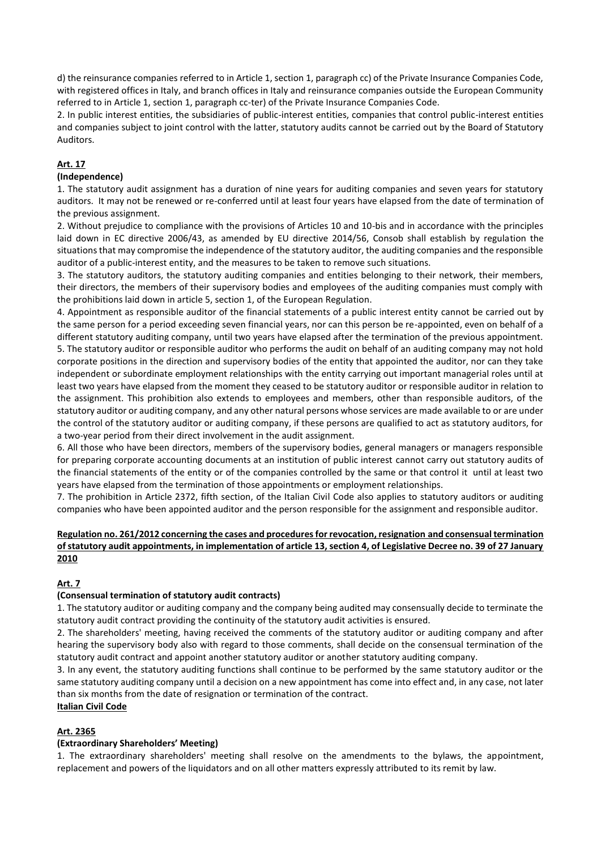d) the reinsurance companies referred to in Article 1, section 1, paragraph cc) of the Private Insurance Companies Code, with registered offices in Italy, and branch offices in Italy and reinsurance companies outside the European Community referred to in Article 1, section 1, paragraph cc-ter) of the Private Insurance Companies Code.

2. In public interest entities, the subsidiaries of public-interest entities, companies that control public-interest entities and companies subject to joint control with the latter, statutory audits cannot be carried out by the Board of Statutory Auditors.

## **Art. 17**

## **(Independence)**

1. The statutory audit assignment has a duration of nine years for auditing companies and seven years for statutory auditors. It may not be renewed or re-conferred until at least four years have elapsed from the date of termination of the previous assignment.

2. Without prejudice to compliance with the provisions of Articles 10 and 10-bis and in accordance with the principles laid down in EC directive 2006/43, as amended by EU directive 2014/56, Consob shall establish by regulation the situations that may compromise the independence of the statutory auditor, the auditing companies and the responsible auditor of a public-interest entity, and the measures to be taken to remove such situations.

3. The statutory auditors, the statutory auditing companies and entities belonging to their network, their members, their directors, the members of their supervisory bodies and employees of the auditing companies must comply with the prohibitions laid down in article 5, section 1, of the European Regulation.

4. Appointment as responsible auditor of the financial statements of a public interest entity cannot be carried out by the same person for a period exceeding seven financial years, nor can this person be re-appointed, even on behalf of a different statutory auditing company, until two years have elapsed after the termination of the previous appointment. 5. The statutory auditor or responsible auditor who performs the audit on behalf of an auditing company may not hold corporate positions in the direction and supervisory bodies of the entity that appointed the auditor, nor can they take independent or subordinate employment relationships with the entity carrying out important managerial roles until at least two years have elapsed from the moment they ceased to be statutory auditor or responsible auditor in relation to the assignment. This prohibition also extends to employees and members, other than responsible auditors, of the statutory auditor or auditing company, and any other natural persons whose services are made available to or are under the control of the statutory auditor or auditing company, if these persons are qualified to act as statutory auditors, for a two-year period from their direct involvement in the audit assignment.

6. All those who have been directors, members of the supervisory bodies, general managers or managers responsible for preparing corporate accounting documents at an institution of public interest cannot carry out statutory audits of the financial statements of the entity or of the companies controlled by the same or that control it until at least two years have elapsed from the termination of those appointments or employment relationships.

7. The prohibition in Article 2372, fifth section, of the Italian Civil Code also applies to statutory auditors or auditing companies who have been appointed auditor and the person responsible for the assignment and responsible auditor.

## **Regulation no. 261/2012 concerning the cases and procedures for revocation, resignation and consensual termination of statutory audit appointments, in implementation of article 13, section 4, of Legislative Decree no. 39 of 27 January 2010**

#### **Art. 7**

#### **(Consensual termination of statutory audit contracts)**

1. The statutory auditor or auditing company and the company being audited may consensually decide to terminate the statutory audit contract providing the continuity of the statutory audit activities is ensured.

2. The shareholders' meeting, having received the comments of the statutory auditor or auditing company and after hearing the supervisory body also with regard to those comments, shall decide on the consensual termination of the statutory audit contract and appoint another statutory auditor or another statutory auditing company.

3. In any event, the statutory auditing functions shall continue to be performed by the same statutory auditor or the same statutory auditing company until a decision on a new appointment has come into effect and, in any case, not later than six months from the date of resignation or termination of the contract.

# **Italian Civil Code**

#### **Art. 2365**

# **(Extraordinary Shareholders' Meeting)**

1. The extraordinary shareholders' meeting shall resolve on the amendments to the bylaws, the appointment, replacement and powers of the liquidators and on all other matters expressly attributed to its remit by law.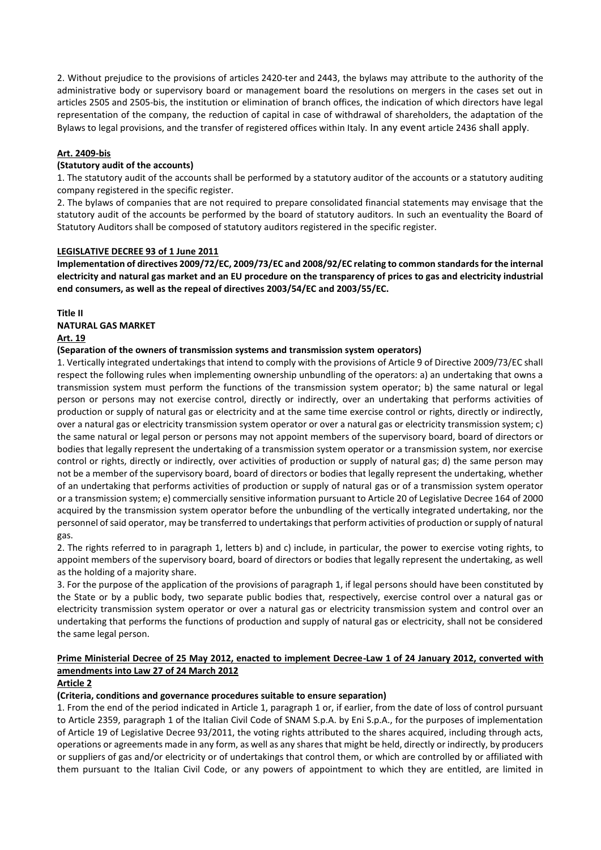2. Without prejudice to the provisions of articles [2420-ter](http://www.universocoop.it/codice/art_2420-ter.html) and [2443,](http://www.universocoop.it/codice/art_2443.html) the bylaws may attribute to the authority of the administrative body or supervisory board or management board the resolutions on mergers in the cases set out in articles [2505](http://www.universocoop.it/codice/art_2505.html) and [2505-bis,](http://www.universocoop.it/codice/art_2505-bis.html) the institution or elimination of branch offices, the indication of which directors have legal representation of the company, the reduction of capital in case of withdrawal of shareholders, the adaptation of the Bylaws to legal provisions, and the transfer of registered offices within Italy. In any event [article 2436](http://www.universocoop.it/codice/art_2436.html) shall apply.

## **Art. 2409-bis**

## **(Statutory audit of the accounts)**

1. The statutory audit of the accounts shall be performed by a statutory auditor of the accounts or a statutory auditing company registered in the specific register.

2. The bylaws of companies that are not required to prepare consolidated financial statements may envisage that the statutory audit of the accounts be performed by the board of statutory auditors. In such an eventuality the Board of Statutory Auditors shall be composed of statutory auditors registered in the specific register.

#### **LEGISLATIVE DECREE 93 of 1 June 2011**

**Implementation of directives 2009/72/EC, 2009/73/EC and 2008/92/EC relating to common standards for the internal electricity and natural gas market and an EU procedure on the transparency of prices to gas and electricity industrial end consumers, as well as the repeal of directives 2003/54/EC and 2003/55/EC.**

**Title II**

# **NATURAL GAS MARKET**

#### **Art. 19**

#### **(Separation of the owners of transmission systems and transmission system operators)**

1. Vertically integrated undertakings that intend to comply with the provisions of Article 9 of Directive 2009/73/EC shall respect the following rules when implementing ownership unbundling of the operators: a) an undertaking that owns a transmission system must perform the functions of the transmission system operator; b) the same natural or legal person or persons may not exercise control, directly or indirectly, over an undertaking that performs activities of production or supply of natural gas or electricity and at the same time exercise control or rights, directly or indirectly, over a natural gas or electricity transmission system operator or over a natural gas or electricity transmission system; c) the same natural or legal person or persons may not appoint members of the supervisory board, board of directors or bodies that legally represent the undertaking of a transmission system operator or a transmission system, nor exercise control or rights, directly or indirectly, over activities of production or supply of natural gas; d) the same person may not be a member of the supervisory board, board of directors or bodies that legally represent the undertaking, whether of an undertaking that performs activities of production or supply of natural gas or of a transmission system operator or a transmission system; e) commercially sensitive information pursuant to Article 20 of Legislative Decree 164 of 2000 acquired by the transmission system operator before the unbundling of the vertically integrated undertaking, nor the personnel of said operator, may be transferred to undertakings that perform activities of production or supply of natural gas.

2. The rights referred to in paragraph 1, letters b) and c) include, in particular, the power to exercise voting rights, to appoint members of the supervisory board, board of directors or bodies that legally represent the undertaking, as well as the holding of a majority share.

3. For the purpose of the application of the provisions of paragraph 1, if legal persons should have been constituted by the State or by a public body, two separate public bodies that, respectively, exercise control over a natural gas or electricity transmission system operator or over a natural gas or electricity transmission system and control over an undertaking that performs the functions of production and supply of natural gas or electricity, shall not be considered the same legal person.

# **Prime Ministerial Decree of 25 May 2012, enacted to implement Decree-Law 1 of 24 January 2012, converted with amendments into Law 27 of 24 March 2012**

## **Article 2**

# **(Criteria, conditions and governance procedures suitable to ensure separation)**

1. From the end of the period indicated in Article 1, paragraph 1 or, if earlier, from the date of loss of control pursuant to Article 2359, paragraph 1 of the Italian Civil Code of SNAM S.p.A. by Eni S.p.A., for the purposes of implementation of Article 19 of Legislative Decree 93/2011, the voting rights attributed to the shares acquired, including through acts, operations or agreements made in any form, as well as any shares that might be held, directly or indirectly, by producers or suppliers of gas and/or electricity or of undertakings that control them, or which are controlled by or affiliated with them pursuant to the Italian Civil Code, or any powers of appointment to which they are entitled, are limited in